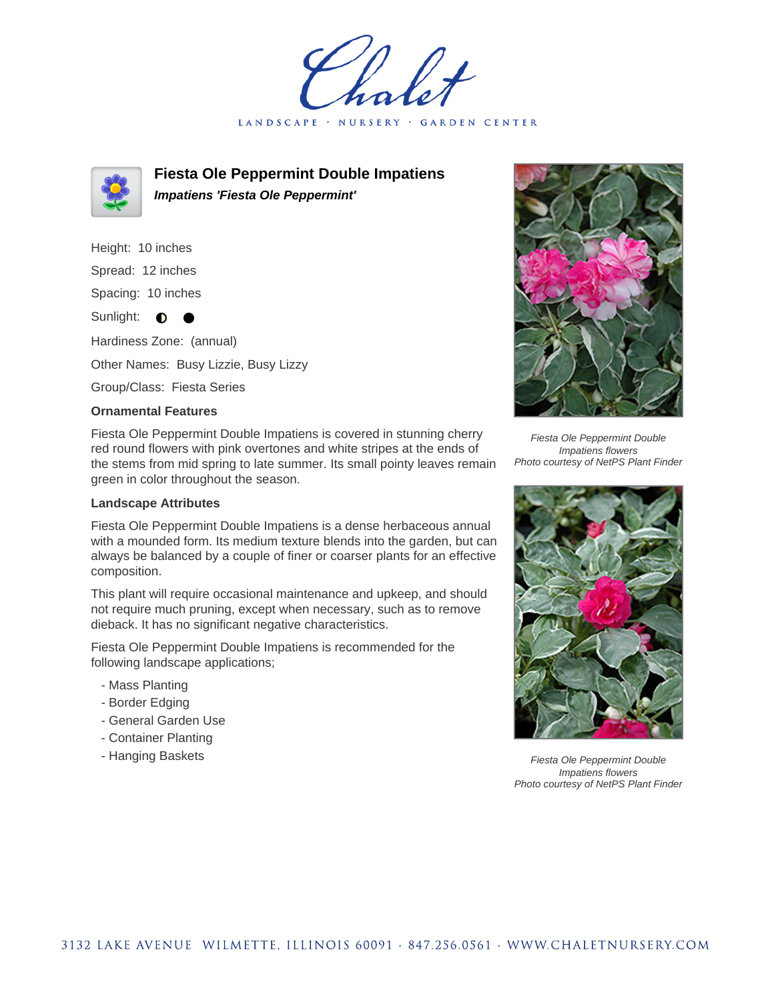LANDSCAPE · NURSERY **GARDEN CENTER** 



**Fiesta Ole Peppermint Double Impatiens Impatiens 'Fiesta Ole Peppermint'**

Height: 10 inches Spread: 12 inches Spacing: 10 inches Sunlight: **0** Hardiness Zone: (annual) Other Names: Busy Lizzie, Busy Lizzy Group/Class: Fiesta Series

## **Ornamental Features**

Fiesta Ole Peppermint Double Impatiens is covered in stunning cherry red round flowers with pink overtones and white stripes at the ends of the stems from mid spring to late summer. Its small pointy leaves remain green in color throughout the season.

## **Landscape Attributes**

Fiesta Ole Peppermint Double Impatiens is a dense herbaceous annual with a mounded form. Its medium texture blends into the garden, but can always be balanced by a couple of finer or coarser plants for an effective composition.

This plant will require occasional maintenance and upkeep, and should not require much pruning, except when necessary, such as to remove dieback. It has no significant negative characteristics.

Fiesta Ole Peppermint Double Impatiens is recommended for the following landscape applications;

- Mass Planting
- Border Edging
- General Garden Use
- Container Planting
- Hanging Baskets



Fiesta Ole Peppermint Double Impatiens flowers Photo courtesy of NetPS Plant Finder



Fiesta Ole Peppermint Double Impatiens flowers Photo courtesy of NetPS Plant Finder